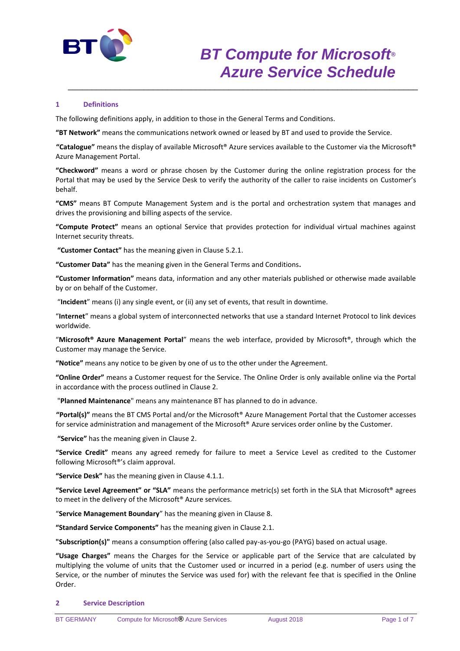

## **1 Definitions**

The following definitions apply, in addition to those in the General Terms and Conditions.

**"BT Network"** means the communications network owned or leased by BT and used to provide the Service.

**"Catalogue"** means the display of available Microsoft® Azure services available to the Customer via the Microsoft® Azure Management Portal.

\_\_\_\_\_\_\_\_\_\_\_\_\_\_\_\_\_\_\_\_\_\_\_\_\_\_\_\_\_\_\_\_\_\_\_\_\_\_\_\_\_\_\_\_\_\_\_\_\_\_\_\_\_\_\_\_\_\_\_\_\_\_\_\_\_\_\_\_\_\_\_\_\_\_

**"Checkword"** means a word or phrase chosen by the Customer during the online registration process for the Portal that may be used by the Service Desk to verify the authority of the caller to raise incidents on Customer's behalf.

**"CMS"** means BT Compute Management System and is the portal and orchestration system that manages and drives the provisioning and billing aspects of the service.

**"Compute Protect"** means an optional Service that provides protection for individual virtual machines against Internet security threats.

**"Customer Contact"** has the meaning given in Clause 5.2.1.

**"Customer Data"** has the meaning given in the General Terms and Conditions**.**

**"Customer Information"** means data, information and any other materials published or otherwise made available by or on behalf of the Customer.

"**Incident**" means (i) any single event, or (ii) any set of events, that result in downtime.

"**Internet**" means a global system of interconnected networks that use a standard Internet Protocol to link devices worldwide.

"**Microsoft® Azure Management Portal**" means the web interface, provided by Microsoft®, through which the Customer may manage the Service.

**"Notice"** means any notice to be given by one of us to the other under the Agreement.

**"Online Order"** means a Customer request for the Service. The Online Order is only available online via the Portal in accordance with the process outlined in Clause 2.

"**Planned Maintenance**" means any maintenance BT has planned to do in advance.

**"Portal(s)"** means the BT CMS Portal and/or the Microsoft® Azure Management Portal that the Customer accesses for service administration and management of the Microsoft® Azure services order online by the Customer.

**"Service"** has the meaning given in Clause 2.

**"Service Credit"** means any agreed remedy for failure to meet a Service Level as credited to the Customer following Microsoft®'s claim approval.

**"Service Desk"** has the meaning given in Clause 4.1.1.

**"Service Level Agreement" or "SLA"** means the performance metric(s) set forth in the SLA that Microsoft® agrees to meet in the delivery of the Microsoft® Azure services.

"**Service Management Boundary**" has the meaning given in Clause 8.

**"Standard Service Components"** has the meaning given in Clause 2.1.

**"Subscription(s)"** means a consumption offering (also called pay-as-you-go (PAYG) based on actual usage.

**"Usage Charges"** means the Charges for the Service or applicable part of the Service that are calculated by multiplying the volume of units that the Customer used or incurred in a period (e.g. number of users using the Service, or the number of minutes the Service was used for) with the relevant fee that is specified in the Online Order.

**2 Service Description**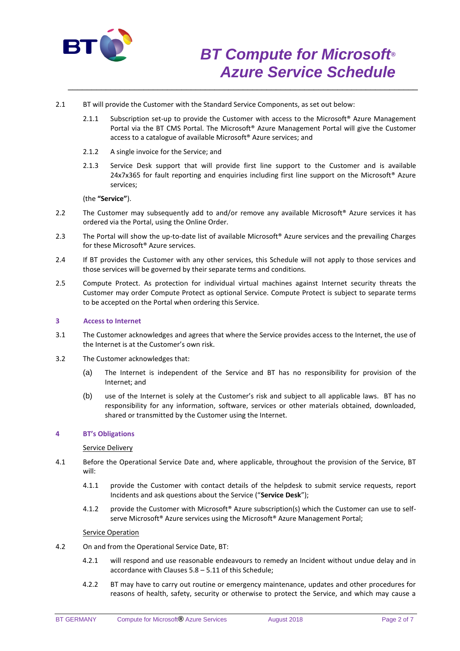

- 2.1 BT will provide the Customer with the Standard Service Components, as set out below:
	- 2.1.1 Subscription set-up to provide the Customer with access to the Microsoft<sup>®</sup> Azure Management Portal via the BT CMS Portal. The Microsoft® Azure Management Portal will give the Customer access to a catalogue of available Microsoft® Azure services; and

\_\_\_\_\_\_\_\_\_\_\_\_\_\_\_\_\_\_\_\_\_\_\_\_\_\_\_\_\_\_\_\_\_\_\_\_\_\_\_\_\_\_\_\_\_\_\_\_\_\_\_\_\_\_\_\_\_\_\_\_\_\_\_\_\_\_\_\_\_\_\_\_\_\_

- 2.1.2 A single invoice for the Service; and
- 2.1.3 Service Desk support that will provide first line support to the Customer and is available  $24x7x365$  for fault reporting and enquiries including first line support on the Microsoft<sup>®</sup> Azure services;

(the **"Service"**).

- 2.2 The Customer may subsequently add to and/or remove any available Microsoft<sup>®</sup> Azure services it has ordered via the Portal, using the Online Order.
- 2.3 The Portal will show the up-to-date list of available Microsoft® Azure services and the prevailing Charges for these Microsoft® Azure services.
- 2.4 If BT provides the Customer with any other services, this Schedule will not apply to those services and those services will be governed by their separate terms and conditions.
- 2.5 Compute Protect. As protection for individual virtual machines against Internet security threats the Customer may order Compute Protect as optional Service. Compute Protect is subject to separate terms to be accepted on the Portal when ordering this Service.

## **3 Access to Internet**

- 3.1 The Customer acknowledges and agrees that where the Service provides access to the Internet, the use of the Internet is at the Customer's own risk.
- 3.2 The Customer acknowledges that:
	- (a) The Internet is independent of the Service and BT has no responsibility for provision of the Internet; and
	- (b) use of the Internet is solely at the Customer's risk and subject to all applicable laws. BT has no responsibility for any information, software, services or other materials obtained, downloaded, shared or transmitted by the Customer using the Internet.

### **4 BT's Obligations**

### Service Delivery

- 4.1 Before the Operational Service Date and, where applicable, throughout the provision of the Service, BT will:
	- 4.1.1 provide the Customer with contact details of the helpdesk to submit service requests, report Incidents and ask questions about the Service ("**Service Desk**");
	- 4.1.2 provide the Customer with Microsoft® Azure subscription(s) which the Customer can use to selfserve Microsoft® Azure services using the Microsoft® Azure Management Portal;

### Service Operation

- 4.2 On and from the Operational Service Date, BT:
	- 4.2.1 will respond and use reasonable endeavours to remedy an Incident without undue delay and in accordance with Clauses 5.8 – 5.11 of this Schedule;
	- 4.2.2 BT may have to carry out routine or emergency maintenance, updates and other procedures for reasons of health, safety, security or otherwise to protect the Service, and which may cause a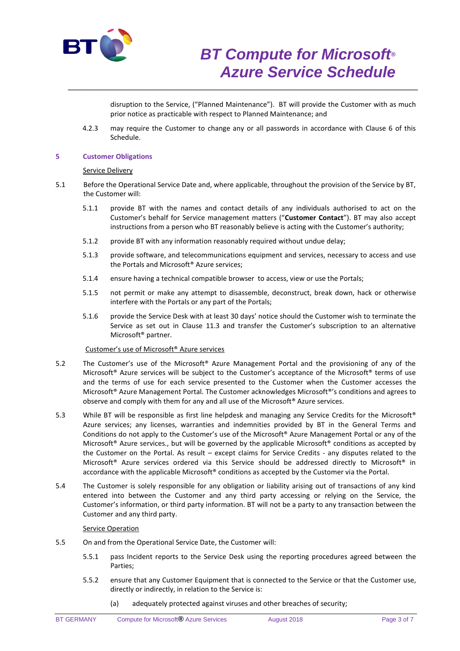

disruption to the Service, ("Planned Maintenance"). BT will provide the Customer with as much prior notice as practicable with respect to Planned Maintenance; and

4.2.3 may require the Customer to change any or all passwords in accordance with Clause 6 of this Schedule.

\_\_\_\_\_\_\_\_\_\_\_\_\_\_\_\_\_\_\_\_\_\_\_\_\_\_\_\_\_\_\_\_\_\_\_\_\_\_\_\_\_\_\_\_\_\_\_\_\_\_\_\_\_\_\_\_\_\_\_\_\_\_\_\_\_\_\_\_\_\_\_\_\_\_

## **5 Customer Obligations**

## Service Delivery

- 5.1 Before the Operational Service Date and, where applicable, throughout the provision of the Service by BT, the Customer will:
	- 5.1.1 provide BT with the names and contact details of any individuals authorised to act on the Customer's behalf for Service management matters ("**Customer Contact**"). BT may also accept instructions from a person who BT reasonably believe is acting with the Customer's authority;
	- 5.1.2 provide BT with any information reasonably required without undue delay;
	- 5.1.3 provide software, and telecommunications equipment and services, necessary to access and use the Portals and Microsoft® Azure services;
	- 5.1.4 ensure having a technical compatible browser to access, view or use the Portals;
	- 5.1.5 not permit or make any attempt to disassemble, deconstruct, break down, hack or otherwise interfere with the Portals or any part of the Portals;
	- 5.1.6 provide the Service Desk with at least 30 days' notice should the Customer wish to terminate the Service as set out in Clause 11.3 and transfer the Customer's subscription to an alternative Microsoft® partner.

### Customer's use of Microsoft® Azure services

- 5.2 The Customer's use of the Microsoft® Azure Management Portal and the provisioning of any of the Microsoft® Azure services will be subject to the Customer's acceptance of the Microsoft® terms of use and the terms of use for each service presented to the Customer when the Customer accesses the Microsoft® Azure Management Portal. The Customer acknowledges Microsoft®'s conditions and agrees to observe and comply with them for any and all use of the Microsoft® Azure services.
- 5.3 While BT will be responsible as first line helpdesk and managing any Service Credits for the Microsoft® Azure services; any licenses, warranties and indemnities provided by BT in the General Terms and Conditions do not apply to the Customer's use of the Microsoft® Azure Management Portal or any of the Microsoft® Azure services., but will be governed by the applicable Microsoft® conditions as accepted by the Customer on the Portal. As result – except claims for Service Credits - any disputes related to the Microsoft® Azure services ordered via this Service should be addressed directly to Microsoft® in accordance with the applicable Microsoft® conditions as accepted by the Customer via the Portal.
- 5.4 The Customer is solely responsible for any obligation or liability arising out of transactions of any kind entered into between the Customer and any third party accessing or relying on the Service, the Customer's information, or third party information. BT will not be a party to any transaction between the Customer and any third party.

### **Service Operation**

- 5.5 On and from the Operational Service Date, the Customer will:
	- 5.5.1 pass Incident reports to the Service Desk using the reporting procedures agreed between the Parties;
	- 5.5.2 ensure that any Customer Equipment that is connected to the Service or that the Customer use, directly or indirectly, in relation to the Service is:
		- (a) adequately protected against viruses and other breaches of security;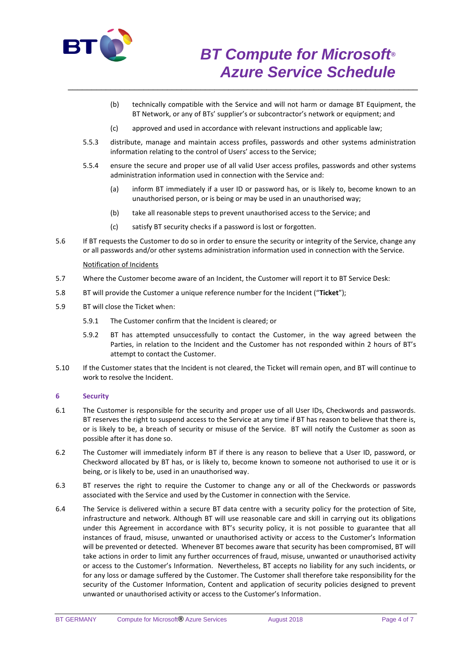

- (b) technically compatible with the Service and will not harm or damage BT Equipment, the BT Network, or any of BTs' supplier's or subcontractor's network or equipment; and
- (c) approved and used in accordance with relevant instructions and applicable law;

\_\_\_\_\_\_\_\_\_\_\_\_\_\_\_\_\_\_\_\_\_\_\_\_\_\_\_\_\_\_\_\_\_\_\_\_\_\_\_\_\_\_\_\_\_\_\_\_\_\_\_\_\_\_\_\_\_\_\_\_\_\_\_\_\_\_\_\_\_\_\_\_\_\_

- 5.5.3 distribute, manage and maintain access profiles, passwords and other systems administration information relating to the control of Users' access to the Service;
- 5.5.4 ensure the secure and proper use of all valid User access profiles, passwords and other systems administration information used in connection with the Service and:
	- (a) inform BT immediately if a user ID or password has, or is likely to, become known to an unauthorised person, or is being or may be used in an unauthorised way;
	- (b) take all reasonable steps to prevent unauthorised access to the Service; and
	- (c) satisfy BT security checks if a password is lost or forgotten.
- 5.6 If BT requests the Customer to do so in order to ensure the security or integrity of the Service, change any or all passwords and/or other systems administration information used in connection with the Service.

## Notification of Incidents

- 5.7 Where the Customer become aware of an Incident, the Customer will report it to BT Service Desk:
- 5.8 BT will provide the Customer a unique reference number for the Incident ("**Ticket**");
- 5.9 BT will close the Ticket when:
	- 5.9.1 The Customer confirm that the Incident is cleared; or
	- 5.9.2 BT has attempted unsuccessfully to contact the Customer, in the way agreed between the Parties, in relation to the Incident and the Customer has not responded within 2 hours of BT's attempt to contact the Customer.
- 5.10 If the Customer states that the Incident is not cleared, the Ticket will remain open, and BT will continue to work to resolve the Incident.

## **6 Security**

- 6.1 The Customer is responsible for the security and proper use of all User IDs, Checkwords and passwords. BT reserves the right to suspend access to the Service at any time if BT has reason to believe that there is, or is likely to be, a breach of security or misuse of the Service. BT will notify the Customer as soon as possible after it has done so.
- 6.2 The Customer will immediately inform BT if there is any reason to believe that a User ID, password, or Checkword allocated by BT has, or is likely to, become known to someone not authorised to use it or is being, or is likely to be, used in an unauthorised way.
- 6.3 BT reserves the right to require the Customer to change any or all of the Checkwords or passwords associated with the Service and used by the Customer in connection with the Service.
- 6.4 The Service is delivered within a secure BT data centre with a security policy for the protection of Site, infrastructure and network. Although BT will use reasonable care and skill in carrying out its obligations under this Agreement in accordance with BT's security policy, it is not possible to guarantee that all instances of fraud, misuse, unwanted or unauthorised activity or access to the Customer's Information will be prevented or detected. Whenever BT becomes aware that security has been compromised, BT will take actions in order to limit any further occurrences of fraud, misuse, unwanted or unauthorised activity or access to the Customer's Information. Nevertheless, BT accepts no liability for any such incidents, or for any loss or damage suffered by the Customer. The Customer shall therefore take responsibility for the security of the Customer Information, Content and application of security policies designed to prevent unwanted or unauthorised activity or access to the Customer's Information.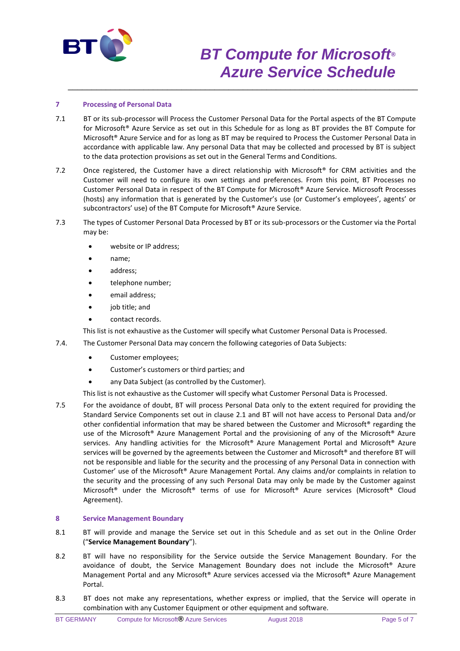

# *BT Compute for Microsoft® Azure Service Schedule*

## **7 Processing of Personal Data**

7.1 BT or its sub-processor will Process the Customer Personal Data for the Portal aspects of the BT Compute for Microsoft® Azure Service as set out in this Schedule for as long as BT provides the BT Compute for Microsoft® Azure Service and for as long as BT may be required to Process the Customer Personal Data in accordance with applicable law. Any personal Data that may be collected and processed by BT is subject to the data protection provisions as set out in the General Terms and Conditions.

\_\_\_\_\_\_\_\_\_\_\_\_\_\_\_\_\_\_\_\_\_\_\_\_\_\_\_\_\_\_\_\_\_\_\_\_\_\_\_\_\_\_\_\_\_\_\_\_\_\_\_\_\_\_\_\_\_\_\_\_\_\_\_\_\_\_\_\_\_\_\_\_\_\_

- 7.2 Once registered, the Customer have a direct relationship with Microsoft® for CRM activities and the Customer will need to configure its own settings and preferences. From this point, BT Processes no Customer Personal Data in respect of the BT Compute for Microsoft® Azure Service. Microsoft Processes (hosts) any information that is generated by the Customer's use (or Customer's employees', agents' or subcontractors' use) of the BT Compute for Microsoft® Azure Service.
- 7.3 The types of Customer Personal Data Processed by BT or its sub-processors or the Customer via the Portal may be:
	- website or IP address;
	- name;
	- address;
	- telephone number;
	- email address;
	- job title; and
	- contact records.

This list is not exhaustive as the Customer will specify what Customer Personal Data is Processed.

- 7.4. The Customer Personal Data may concern the following categories of Data Subjects:
	- Customer employees;
	- Customer's customers or third parties; and
	- any Data Subject (as controlled by the Customer).

This list is not exhaustive as the Customer will specify what Customer Personal Data is Processed.

7.5 For the avoidance of doubt, BT will process Personal Data only to the extent required for providing the Standard Service Components set out in clause 2.1 and BT will not have access to Personal Data and/or other confidential information that may be shared between the Customer and Microsoft® regarding the use of the Microsoft® Azure Management Portal and the provisioning of any of the Microsoft® Azure services. Any handling activities for the Microsoft® Azure Management Portal and Microsoft® Azure services will be governed by the agreements between the Customer and Microsoft<sup>®</sup> and therefore BT will not be responsible and liable for the security and the processing of any Personal Data in connection with Customer' use of the Microsoft® Azure Management Portal. Any claims and/or complaints in relation to the security and the processing of any such Personal Data may only be made by the Customer against Microsoft® under the Microsoft® terms of use for Microsoft® Azure services (Microsoft® Cloud Agreement).

## **8 Service Management Boundary**

- 8.1 BT will provide and manage the Service set out in this Schedule and as set out in the Online Order ("**Service Management Boundary**").
- 8.2 BT will have no responsibility for the Service outside the Service Management Boundary. For the avoidance of doubt, the Service Management Boundary does not include the Microsoft® Azure Management Portal and any Microsoft® Azure services accessed via the Microsoft® Azure Management Portal.
- 8.3 BT does not make any representations, whether express or implied, that the Service will operate in combination with any Customer Equipment or other equipment and software.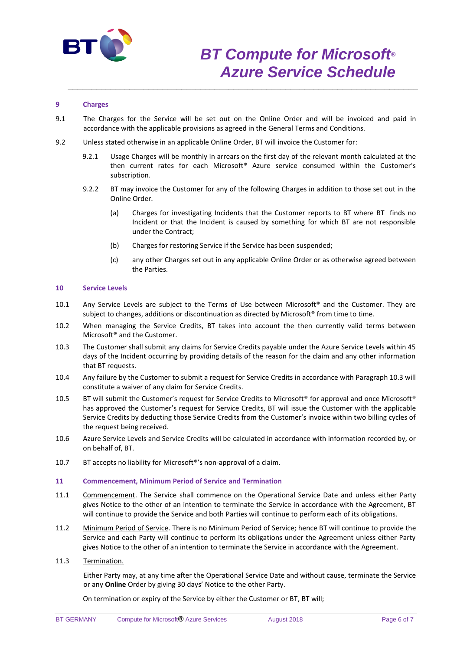

# *BT Compute for Microsoft® Azure Service Schedule*

## **9 Charges**

9.1 The Charges for the Service will be set out on the Online Order and will be invoiced and paid in accordance with the applicable provisions as agreed in the General Terms and Conditions.

\_\_\_\_\_\_\_\_\_\_\_\_\_\_\_\_\_\_\_\_\_\_\_\_\_\_\_\_\_\_\_\_\_\_\_\_\_\_\_\_\_\_\_\_\_\_\_\_\_\_\_\_\_\_\_\_\_\_\_\_\_\_\_\_\_\_\_\_\_\_\_\_\_\_

- 9.2 Unless stated otherwise in an applicable Online Order, BT will invoice the Customer for:
	- 9.2.1 Usage Charges will be monthly in arrears on the first day of the relevant month calculated at the then current rates for each Microsoft® Azure service consumed within the Customer's subscription.
	- 9.2.2 BT may invoice the Customer for any of the following Charges in addition to those set out in the Online Order.
		- (a) Charges for investigating Incidents that the Customer reports to BT where BT finds no Incident or that the Incident is caused by something for which BT are not responsible under the Contract;
		- (b) Charges for restoring Service if the Service has been suspended;
		- (c) any other Charges set out in any applicable Online Order or as otherwise agreed between the Parties.

### **10 Service Levels**

- 10.1 Any Service Levels are subject to the Terms of Use between Microsoft® and the Customer. They are subject to changes, additions or discontinuation as directed by Microsoft® from time to time.
- 10.2 When managing the Service Credits, BT takes into account the then currently valid terms between Microsoft® and the Customer.
- 10.3 The Customer shall submit any claims for Service Credits payable under the Azure Service Levels within 45 days of the Incident occurring by providing details of the reason for the claim and any other information that BT requests.
- 10.4 Any failure by the Customer to submit a request for Service Credits in accordance with Paragraph 10.3 will constitute a waiver of any claim for Service Credits.
- 10.5 BT will submit the Customer's request for Service Credits to Microsoft® for approval and once Microsoft® has approved the Customer's request for Service Credits, BT will issue the Customer with the applicable Service Credits by deducting those Service Credits from the Customer's invoice within two billing cycles of the request being received.
- 10.6 Azure Service Levels and Service Credits will be calculated in accordance with information recorded by, or on behalf of, BT.
- 10.7 BT accepts no liability for Microsoft®'s non-approval of a claim.

### **11 Commencement, Minimum Period of Service and Termination**

- 11.1 Commencement. The Service shall commence on the Operational Service Date and unless either Party gives Notice to the other of an intention to terminate the Service in accordance with the Agreement, BT will continue to provide the Service and both Parties will continue to perform each of its obligations.
- 11.2 Minimum Period of Service. There is no Minimum Period of Service; hence BT will continue to provide the Service and each Party will continue to perform its obligations under the Agreement unless either Party gives Notice to the other of an intention to terminate the Service in accordance with the Agreement.
- 11.3 Termination.

Either Party may, at any time after the Operational Service Date and without cause, terminate the Service or any **Online** Order by giving 30 days' Notice to the other Party.

On termination or expiry of the Service by either the Customer or BT, BT will;